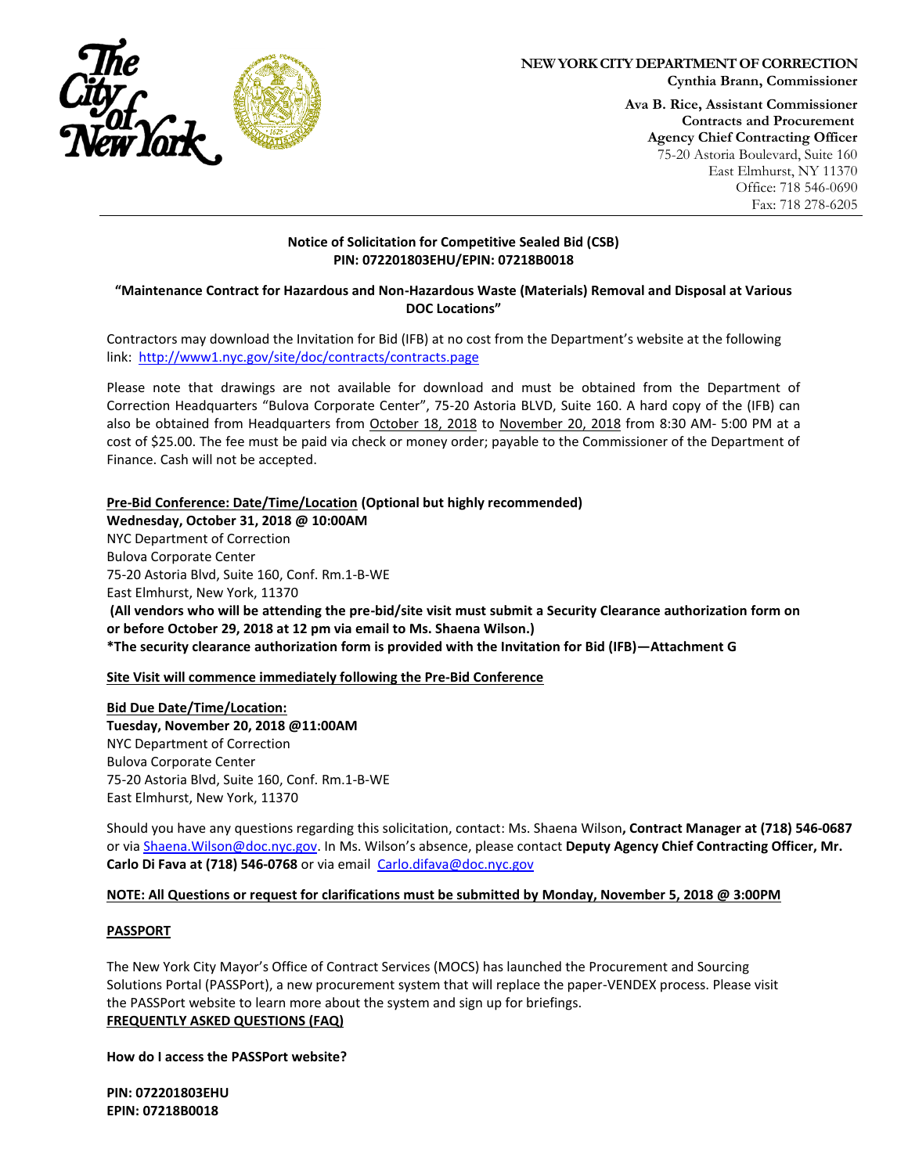

# **NEW YORK CITY DEPARTMENT OF CORRECTION**

**Cynthia Brann, Commissioner**

**Ava B. Rice, Assistant Commissioner Contracts and Procurement Agency Chief Contracting Officer** 75-20 Astoria Boulevard, Suite 160 East Elmhurst, NY 11370 Office: 718 546-0690 Fax: 718 278-6205

## **Notice of Solicitation for Competitive Sealed Bid (CSB) PIN: 072201803EHU/EPIN: 07218B0018**

## **"Maintenance Contract for Hazardous and Non-Hazardous Waste (Materials) Removal and Disposal at Various DOC Locations"**

Contractors may download the Invitation for Bid (IFB) at no cost from the Department's website at the following link:<http://www1.nyc.gov/site/doc/contracts/contracts.page>

Please note that drawings are not available for download and must be obtained from the Department of Correction Headquarters "Bulova Corporate Center", 75-20 Astoria BLVD, Suite 160. A hard copy of the (IFB) can also be obtained from Headquarters from October 18, 2018 to November 20, 2018 from 8:30 AM- 5:00 PM at a cost of \$25.00. The fee must be paid via check or money order; payable to the Commissioner of the Department of Finance. Cash will not be accepted.

**Pre-Bid Conference: Date/Time/Location (Optional but highly recommended)** 

**Wednesday, October 31, 2018 @ 10:00AM** NYC Department of Correction Bulova Corporate Center 75-20 Astoria Blvd, Suite 160, Conf. Rm.1-B-WE East Elmhurst, New York, 11370 **(All vendors who will be attending the pre-bid/site visit must submit a Security Clearance authorization form on or before October 29, 2018 at 12 pm via email to Ms. Shaena Wilson.) \*The security clearance authorization form is provided with the Invitation for Bid (IFB)—Attachment G**

**Site Visit will commence immediately following the Pre-Bid Conference**

**Bid Due Date/Time/Location: Tuesday, November 20, 2018 @11:00AM** NYC Department of Correction Bulova Corporate Center 75-20 Astoria Blvd, Suite 160, Conf. Rm.1-B-WE East Elmhurst, New York, 11370

Should you have any questions regarding this solicitation, contact: Ms. Shaena Wilson**, Contract Manager at (718) 546-0687** or via [Shaena.Wilson@doc.nyc.gov.](mailto:Shaena.Wilson@doc.nyc.gov) In Ms. Wilson's absence, please contact **Deputy Agency Chief Contracting Officer, Mr.**  Carlo Di Fava at (718) 546-0768 or via email [Carlo.difava@doc.nyc.gov](mailto:Carlo.difava@doc.nyc.gov)

## **NOTE: All Questions or request for clarifications must be submitted by Monday, November 5, 2018 @ 3:00PM**

## **PASSPORT**

The New York City Mayor's Office of Contract Services (MOCS) has launched the Procurement and Sourcing Solutions Portal (PASSPort), a new procurement system that will replace the paper-VENDEX process. Please visit the PASSPort website to learn more about the system and sign up for briefings. **FREQUENTLY ASKED QUESTIONS (FAQ)**

**How do I access the PASSPort website?**

**PIN: 072201803EHU EPIN: 07218B0018**